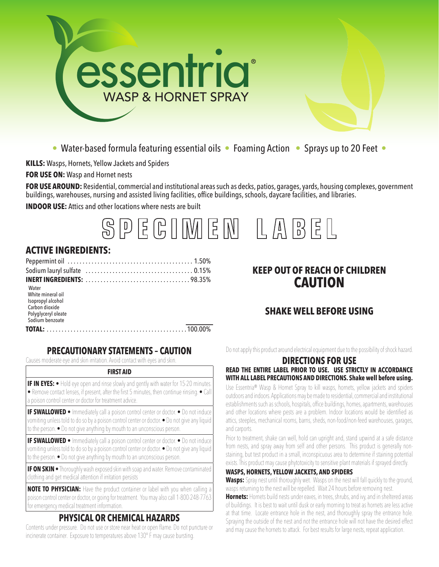

• Water-based formula featuring essential oils • Foaming Action • Sprays up to 20 Feet •

**KILLS:** Wasps, Hornets, Yellow Jackets and Spiders

**FOR USE ON:** Wasp and Hornet nests

**FOR USE AROUND:** Residential, commercial and institutional areas such as decks, patios, garages, yards, housing complexes, government buildings, warehouses, nursing and assisted living facilities, office buildings, schools, daycare facilities, and libraries.

**INDOOR USE:** Attics and other locations where nests are built



## **ACTIVE INGREDIENTS:**

| Water<br>White mineral oil<br>Isopropyl alcohol<br>Carbon dioxide<br>Polyglyceryl oleate<br>Sodium benzoate |  |
|-------------------------------------------------------------------------------------------------------------|--|
|                                                                                                             |  |

# **KEEP OUT OF REACH OF CHILDREN CAUTION**

# **SHAKE WELL BEFORE USING**

## **PRECAUTIONARY STATEMENTS – CAUTION**

Causes moderate eye and skin irritation. Avoid contact with eyes and skin.

#### **FIRST AID**

**IF IN EYES:** • Hold eye open and rinse slowly and gently with water for 15-20 minutes. • Remove contact lenses, if present, after the first 5 minutes, then continue rinsing. • Call a poison control center or doctor for treatment advice.

**IF SWALLOWED** • Immediately call a poison control center or doctor. • Do not induce vomiting unless told to do so by a poison control center or doctor. • Do not give any liquid to the person. • Do not give anything by mouth to an unconscious person.

**IF SWALLOWED** • Immediately call a poison control center or doctor. • Do not induce vomiting unless told to do so by a poison control center or doctor. • Do not give any liquid to the person. • Do not give anything by mouth to an unconscious person.

**IF ON SKIN** • Thoroughly wash exposed skin with soap and water. Remove contaminated clothing and get medical attention if irritation persists

**NOTE TO PHYSICIAN:** Have the product container or label with you when calling a poison control center or doctor, or going for treatment. You may also call 1-800-248-7763 for emergency medical treatment information.

## **PHYSICAL OR CHEMICAL HAZARDS**

Contents under pressure. Do not use or store near heat or open flame. Do not puncture or incinerate container. Exposure to temperatures above 130° F may cause bursting.

Do not apply this product around electrical equipment due to the possibility of shock hazard.

## **DIRECTIONS FOR USE**

#### **READ THE ENTIRE LABEL PRIOR TO USE. USE STRICTLY IN ACCORDANCE WITH ALL LABEL PRECAUTIONS AND DIRECTIONS. Shake well before using.**

Use Essentria® Wasp & Hornet Spray to kill wasps, hornets, yellow jackets and spiders outdoors and indoors. Applications may be made to residential, commercial and institutional establishments such as schools, hospitals, office buildings, homes, apartments, warehouses and other locations where pests are a problem. Indoor locations would be identified as attics, steeples, mechanical rooms, barns, sheds, non-food/non-feed warehouses, garages, and carports.

Prior to treatment, shake can well, hold can upright and, stand upwind at a safe distance from nests, and spray away from self and other persons. This product is generally nonstaining, but test product in a small, inconspicuous area to determine if staining potential exists. This product may cause phytotoxicity to sensitive plant materials if sprayed directly.

#### **WASPS, HORNETS, YELLOW JACKETS, AND SPIDERS**

**Wasps:** Spray nest until thoroughly wet. Wasps on the nest will fall quickly to the ground, wasps returning to the nest will be repelled. Wait 24 hours before removing nest.

**Hornets:** Hornets build nests under eaves, in trees, shrubs, and ivy, and in sheltered areas of buildings. It is best to wait until dusk or early morning to treat as hornets are less active at that time. Locate entrance hole in the nest, and thoroughly spray the entrance hole. Spraying the outside of the nest and not the entrance hole will not have the desired effect and may cause the hornets to attack. For best results for large nests, repeat application.